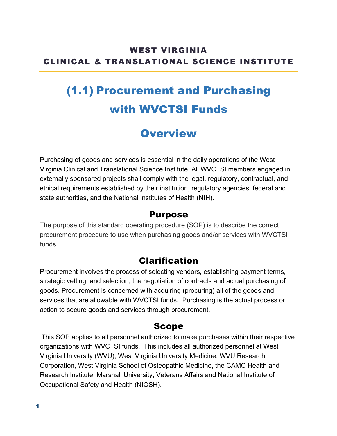#### WEST VIRGINIA CLINICAL & TRANSLATIONAL SCIENCE INSTITUTE

# (1.1) Procurement and Purchasing with WVCTSI Funds

### **Overview**

Purchasing of goods and services is essential in the daily operations of the West Virginia Clinical and Translational Science Institute. All WVCTSI members engaged in externally sponsored projects shall comply with the legal, regulatory, contractual, and ethical requirements established by their institution, regulatory agencies, federal and state authorities, and the National Institutes of Health (NIH).

#### Purpose

The purpose of this standard operating procedure (SOP) is to describe the correct procurement procedure to use when purchasing goods and/or services with WVCTSI funds.

#### Clarification

Procurement involves the process of selecting vendors, establishing payment terms, strategic vetting, and selection, the negotiation of contracts and actual purchasing of goods. Procurement is concerned with acquiring (procuring) all of the goods and services that are allowable with WVCTSI funds. Purchasing is the actual process or action to secure goods and services through procurement.

#### Scope

This SOP applies to all personnel authorized to make purchases within their respective organizations with WVCTSI funds. This includes all authorized personnel at West Virginia University (WVU), West Virginia University Medicine, WVU Research Corporation, West Virginia School of Osteopathic Medicine, the CAMC Health and Research Institute, Marshall University, Veterans Affairs and National Institute of Occupational Safety and Health (NIOSH).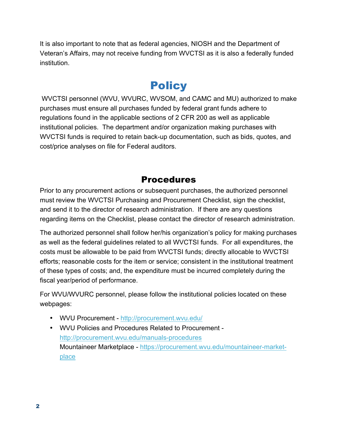It is also important to note that as federal agencies, NIOSH and the Department of Veteran's Affairs, may not receive funding from WVCTSI as it is also a federally funded institution.

### **Policy**

WVCTSI personnel (WVU, WVURC, WVSOM, and CAMC and MU) authorized to make purchases must ensure all purchases funded by federal grant funds adhere to regulations found in the applicable sections of 2 CFR 200 as well as applicable institutional policies. The department and/or organization making purchases with WVCTSI funds is required to retain back-up documentation, such as bids, quotes, and cost/price analyses on file for Federal auditors.

#### Procedures

Prior to any procurement actions or subsequent purchases, the authorized personnel must review the WVCTSI Purchasing and Procurement Checklist, sign the checklist, and send it to the director of research administration. If there are any questions regarding items on the Checklist, please contact the director of research administration.

The authorized personnel shall follow her/his organization's policy for making purchases as well as the federal guidelines related to all WVCTSI funds. For all expenditures, the costs must be allowable to be paid from WVCTSI funds; directly allocable to WVCTSI efforts; reasonable costs for the item or service; consistent in the institutional treatment of these types of costs; and, the expenditure must be incurred completely during the fiscal year/period of performance.

For WVU/WVURC personnel, please follow the institutional policies located on these webpages:

- WVU Procurement http://procurement.wvu.edu/
- WVU Policies and Procedures Related to Procurement http://procurement.wvu.edu/manuals-procedures Mountaineer Marketplace - https://procurement.wvu.edu/mountaineer-marketplace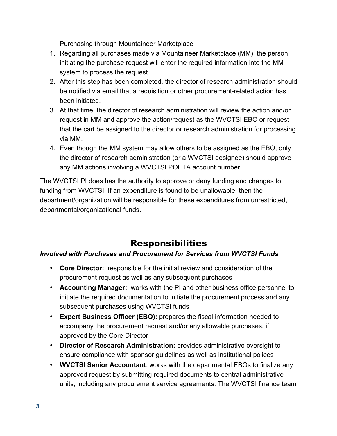Purchasing through Mountaineer Marketplace

- 1. Regarding all purchases made via Mountaineer Marketplace (MM), the person initiating the purchase request will enter the required information into the MM system to process the request.
- 2. After this step has been completed, the director of research administration should be notified via email that a requisition or other procurement-related action has been initiated.
- 3. At that time, the director of research administration will review the action and/or request in MM and approve the action/request as the WVCTSI EBO or request that the cart be assigned to the director or research administration for processing via MM.
- 4. Even though the MM system may allow others to be assigned as the EBO, only the director of research administration (or a WVCTSI designee) should approve any MM actions involving a WVCTSI POETA account number.

The WVCTSI PI does has the authority to approve or deny funding and changes to funding from WVCTSI. If an expenditure is found to be unallowable, then the department/organization will be responsible for these expenditures from unrestricted, departmental/organizational funds.

### Responsibilities

#### *Involved with Purchases and Procurement for Services from WVCTSI Funds*

- **Core Director:** responsible for the initial review and consideration of the procurement request as well as any subsequent purchases
- **Accounting Manager:** works with the PI and other business office personnel to initiate the required documentation to initiate the procurement process and any subsequent purchases using WVCTSI funds
- **Expert Business Officer (EBO):** prepares the fiscal information needed to accompany the procurement request and/or any allowable purchases, if approved by the Core Director
- **Director of Research Administration:** provides administrative oversight to ensure compliance with sponsor guidelines as well as institutional polices
- **WVCTSI Senior Accountant**: works with the departmental EBOs to finalize any approved request by submitting required documents to central administrative units; including any procurement service agreements. The WVCTSI finance team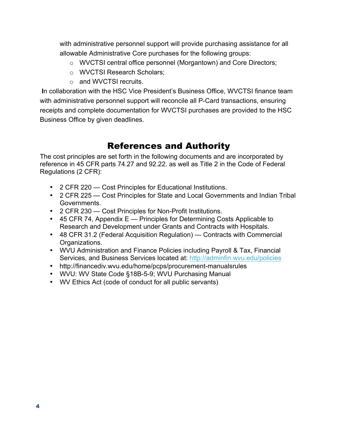with administrative personnel support will provide purchasing assistance for all allowable Administrative Core purchases for the following groups:

- o WVCTSI central office personnel (Morgantown) and Core Directors;
- o WVCTSI Research Scholars;
- o and WVCTSI recruits.

**I**n collaboration with the HSC Vice President's Business Office, WVCTSI finance team with administrative personnel support will reconcile all P-Card transactions, ensuring receipts and complete documentation for WVCTSI purchases are provided to the HSC Business Office by given deadlines.

#### References and Authority

The cost principles are set forth in the following documents and are incorporated by reference in 45 CFR parts 74.27 and 92.22. as well as Title 2 in the Code of Federal Regulations (2 CFR):

- 2 CFR 220 Cost Principles for Educational Institutions.
- 2 CFR 225 Cost Principles for State and Local Governments and Indian Tribal Governments.
- 2 CFR 230 Cost Principles for Non-Profit Institutions.
- 45 CFR 74, Appendix E Principles for Determining Costs Applicable to Research and Development under Grants and Contracts with Hospitals.
- 48 CFR 31.2 (Federal Acquisition Regulation) Contracts with Commercial Organizations.
- WVU Administration and Finance Policies including Payroll & Tax, Financial Services, and Business Services located at: http://adminfin.wvu.edu/policies
- http://financediv.wvu.edu/home/pcps/procurement-manualsrules
- WVU: WV State Code §18B-5-9; WVU Purchasing Manual
- WV Ethics Act (code of conduct for all public servants)